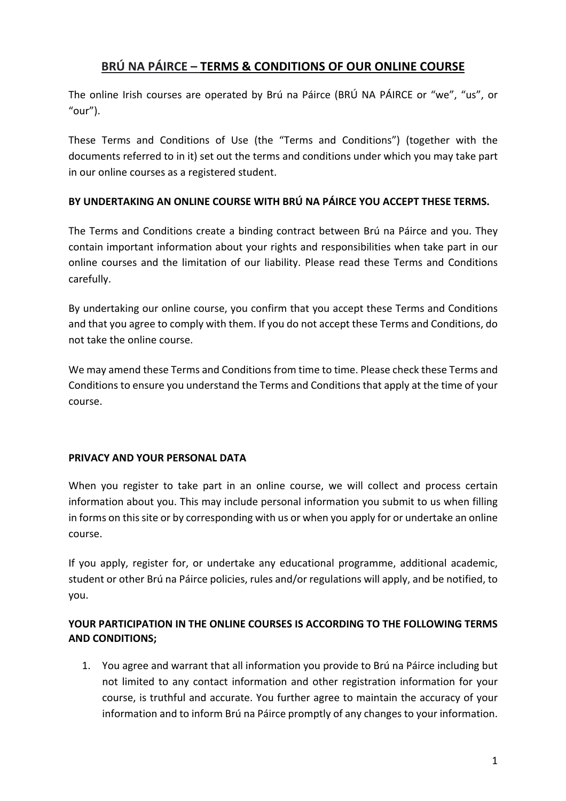## **BRÚ NA PÁIRCE – TERMS & CONDITIONS OF OUR ONLINE COURSE**

The online Irish courses are operated by Brú na Páirce (BRÚ NA PÁIRCE or "we", "us", or "our").

These Terms and Conditions of Use (the "Terms and Conditions") (together with the documents referred to in it) set out the terms and conditions under which you may take part in our online courses as a registered student.

## **BY UNDERTAKING AN ONLINE COURSE WITH BRÚ NA PÁIRCE YOU ACCEPT THESE TERMS.**

The Terms and Conditions create a binding contract between Brú na Páirce and you. They contain important information about your rights and responsibilities when take part in our online courses and the limitation of our liability. Please read these Terms and Conditions carefully.

By undertaking our online course, you confirm that you accept these Terms and Conditions and that you agree to comply with them. If you do not accept these Terms and Conditions, do not take the online course.

We may amend these Terms and Conditions from time to time. Please check these Terms and Conditions to ensure you understand the Terms and Conditions that apply at the time of your course.

## **PRIVACY AND YOUR PERSONAL DATA**

When you register to take part in an online course, we will collect and process certain information about you. This may include personal information you submit to us when filling in forms on this site or by corresponding with us or when you apply for or undertake an online course.

If you apply, register for, or undertake any educational programme, additional academic, student or other Brú na Páirce policies, rules and/or regulations will apply, and be notified, to you.

## **YOUR PARTICIPATION IN THE ONLINE COURSES IS ACCORDING TO THE FOLLOWING TERMS AND CONDITIONS;**

1. You agree and warrant that all information you provide to Brú na Páirce including but not limited to any contact information and other registration information for your course, is truthful and accurate. You further agree to maintain the accuracy of your information and to inform Brú na Páirce promptly of any changes to your information.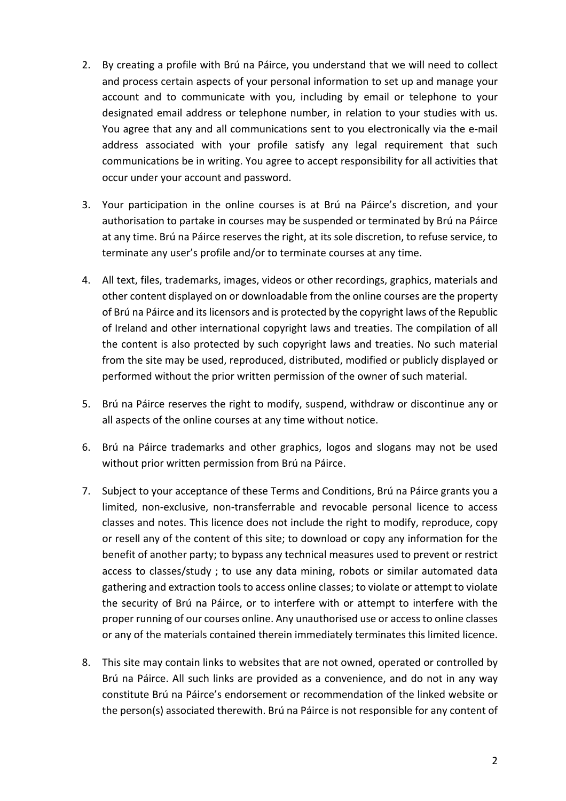- 2. By creating a profile with Brú na Páirce, you understand that we will need to collect and process certain aspects of your personal information to set up and manage your account and to communicate with you, including by email or telephone to your designated email address or telephone number, in relation to your studies with us. You agree that any and all communications sent to you electronically via the e-mail address associated with your profile satisfy any legal requirement that such communications be in writing. You agree to accept responsibility for all activities that occur under your account and password.
- 3. Your participation in the online courses is at Brú na Páirce's discretion, and your authorisation to partake in courses may be suspended or terminated by Brú na Páirce at any time. Brú na Páirce reserves the right, at its sole discretion, to refuse service, to terminate any user's profile and/or to terminate courses at any time.
- 4. All text, files, trademarks, images, videos or other recordings, graphics, materials and other content displayed on or downloadable from the online courses are the property of Brú na Páirce and its licensors and is protected by the copyright laws of the Republic of Ireland and other international copyright laws and treaties. The compilation of all the content is also protected by such copyright laws and treaties. No such material from the site may be used, reproduced, distributed, modified or publicly displayed or performed without the prior written permission of the owner of such material.
- 5. Brú na Páirce reserves the right to modify, suspend, withdraw or discontinue any or all aspects of the online courses at any time without notice.
- 6. Brú na Páirce trademarks and other graphics, logos and slogans may not be used without prior written permission from Brú na Páirce.
- 7. Subject to your acceptance of these Terms and Conditions, Brú na Páirce grants you a limited, non-exclusive, non-transferrable and revocable personal licence to access classes and notes. This licence does not include the right to modify, reproduce, copy or resell any of the content of this site; to download or copy any information for the benefit of another party; to bypass any technical measures used to prevent or restrict access to classes/study ; to use any data mining, robots or similar automated data gathering and extraction tools to access online classes; to violate or attempt to violate the security of Brú na Páirce, or to interfere with or attempt to interfere with the proper running of our courses online. Any unauthorised use or access to online classes or any of the materials contained therein immediately terminates this limited licence.
- 8. This site may contain links to websites that are not owned, operated or controlled by Brú na Páirce. All such links are provided as a convenience, and do not in any way constitute Brú na Páirce's endorsement or recommendation of the linked website or the person(s) associated therewith. Brú na Páirce is not responsible for any content of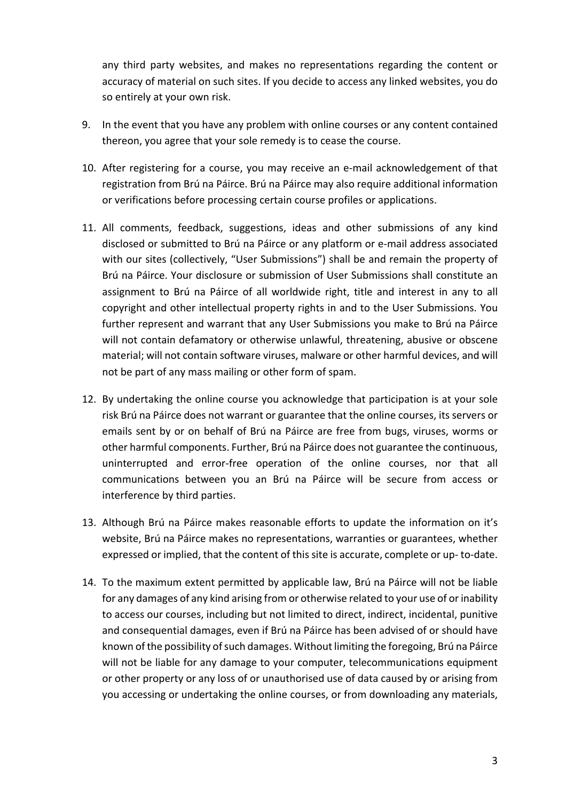any third party websites, and makes no representations regarding the content or accuracy of material on such sites. If you decide to access any linked websites, you do so entirely at your own risk.

- 9. In the event that you have any problem with online courses or any content contained thereon, you agree that your sole remedy is to cease the course.
- 10. After registering for a course, you may receive an e-mail acknowledgement of that registration from Brú na Páirce. Brú na Páirce may also require additional information or verifications before processing certain course profiles or applications.
- 11. All comments, feedback, suggestions, ideas and other submissions of any kind disclosed or submitted to Brú na Páirce or any platform or e-mail address associated with our sites (collectively, "User Submissions") shall be and remain the property of Brú na Páirce. Your disclosure or submission of User Submissions shall constitute an assignment to Brú na Páirce of all worldwide right, title and interest in any to all copyright and other intellectual property rights in and to the User Submissions. You further represent and warrant that any User Submissions you make to Brú na Páirce will not contain defamatory or otherwise unlawful, threatening, abusive or obscene material; will not contain software viruses, malware or other harmful devices, and will not be part of any mass mailing or other form of spam.
- 12. By undertaking the online course you acknowledge that participation is at your sole risk Brú na Páirce does not warrant or guarantee that the online courses, its servers or emails sent by or on behalf of Brú na Páirce are free from bugs, viruses, worms or other harmful components. Further, Brú na Páirce does not guarantee the continuous, uninterrupted and error-free operation of the online courses, nor that all communications between you an Brú na Páirce will be secure from access or interference by third parties.
- 13. Although Brú na Páirce makes reasonable efforts to update the information on it's website, Brú na Páirce makes no representations, warranties or guarantees, whether expressed or implied, that the content of this site is accurate, complete or up- to-date.
- 14. To the maximum extent permitted by applicable law, Brú na Páirce will not be liable for any damages of any kind arising from or otherwise related to your use of or inability to access our courses, including but not limited to direct, indirect, incidental, punitive and consequential damages, even if Brú na Páirce has been advised of or should have known of the possibility of such damages. Without limiting the foregoing, Brú na Páirce will not be liable for any damage to your computer, telecommunications equipment or other property or any loss of or unauthorised use of data caused by or arising from you accessing or undertaking the online courses, or from downloading any materials,